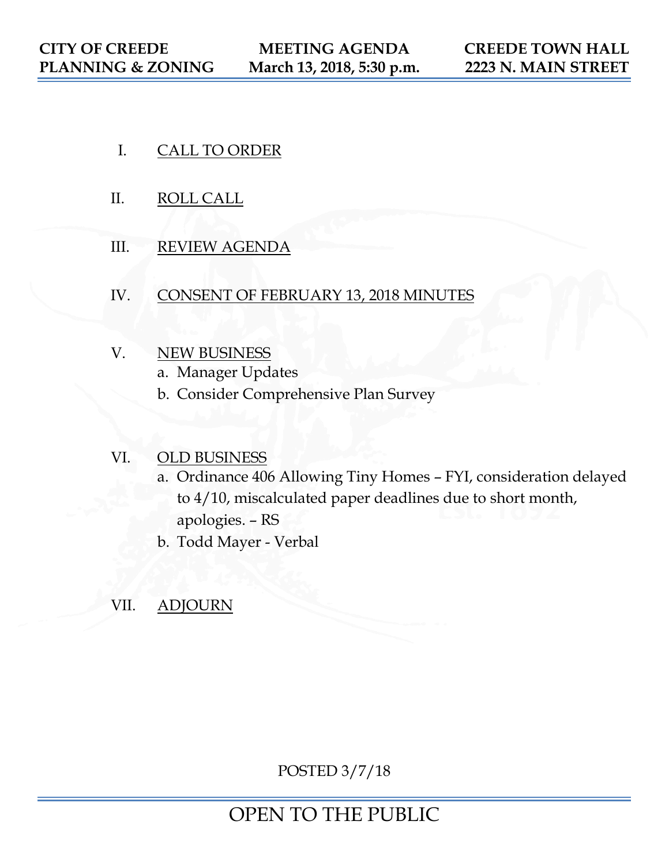- I. CALL TO ORDER
- II. ROLL CALL
- III. REVIEW AGENDA
- IV. CONSENT OF FEBRUARY 13, 2018 MINUTES
- V. NEW BUSINESS
	- a. Manager Updates
	- b. Consider Comprehensive Plan Survey

## VI. OLD BUSINESS

- a. Ordinance 406 Allowing Tiny Homes FYI, consideration delayed to 4/10, miscalculated paper deadlines due to short month, apologies. – RS
- b. Todd Mayer Verbal

## VII. **ADJOURN**

POSTED 3/7/18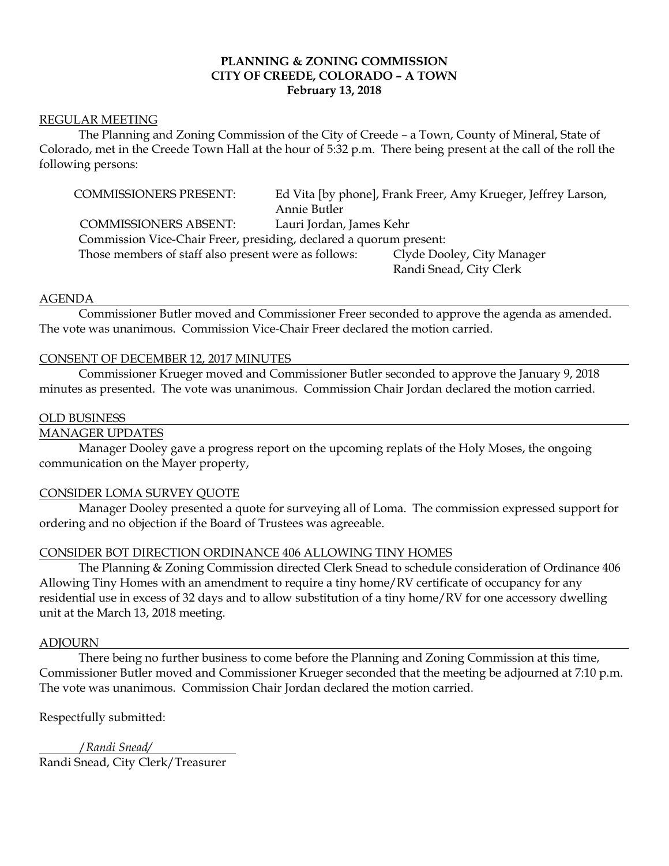#### **PLANNING & ZONING COMMISSION CITY OF CREEDE, COLORADO – A TOWN February 13, 2018**

#### REGULAR MEETING

The Planning and Zoning Commission of the City of Creede – a Town, County of Mineral, State of Colorado, met in the Creede Town Hall at the hour of 5:32 p.m. There being present at the call of the roll the following persons:

COMMISSIONERS PRESENT: Ed Vita [by phone], Frank Freer, Amy Krueger, Jeffrey Larson, Annie Butler COMMISSIONERS ABSENT: Lauri Jordan, James Kehr Commission Vice-Chair Freer, presiding, declared a quorum present: Those members of staff also present were as follows: Clyde Dooley, City Manager Randi Snead, City Clerk

#### AGENDA

Commissioner Butler moved and Commissioner Freer seconded to approve the agenda as amended. The vote was unanimous. Commission Vice-Chair Freer declared the motion carried.

#### CONSENT OF DECEMBER 12, 2017 MINUTES

Commissioner Krueger moved and Commissioner Butler seconded to approve the January 9, 2018 minutes as presented. The vote was unanimous. Commission Chair Jordan declared the motion carried.

#### OLD BUSINESS

#### MANAGER UPDATES

Manager Dooley gave a progress report on the upcoming replats of the Holy Moses, the ongoing communication on the Mayer property,

#### CONSIDER LOMA SURVEY QUOTE

Manager Dooley presented a quote for surveying all of Loma. The commission expressed support for ordering and no objection if the Board of Trustees was agreeable.

#### CONSIDER BOT DIRECTION ORDINANCE 406 ALLOWING TINY HOMES

The Planning & Zoning Commission directed Clerk Snead to schedule consideration of Ordinance 406 Allowing Tiny Homes with an amendment to require a tiny home/RV certificate of occupancy for any residential use in excess of 32 days and to allow substitution of a tiny home/RV for one accessory dwelling unit at the March 13, 2018 meeting.

#### ADJOURN

There being no further business to come before the Planning and Zoning Commission at this time, Commissioner Butler moved and Commissioner Krueger seconded that the meeting be adjourned at 7:10 p.m. The vote was unanimous. Commission Chair Jordan declared the motion carried.

Respectfully submitted:

/*Randi Snead/* Randi Snead, City Clerk/Treasurer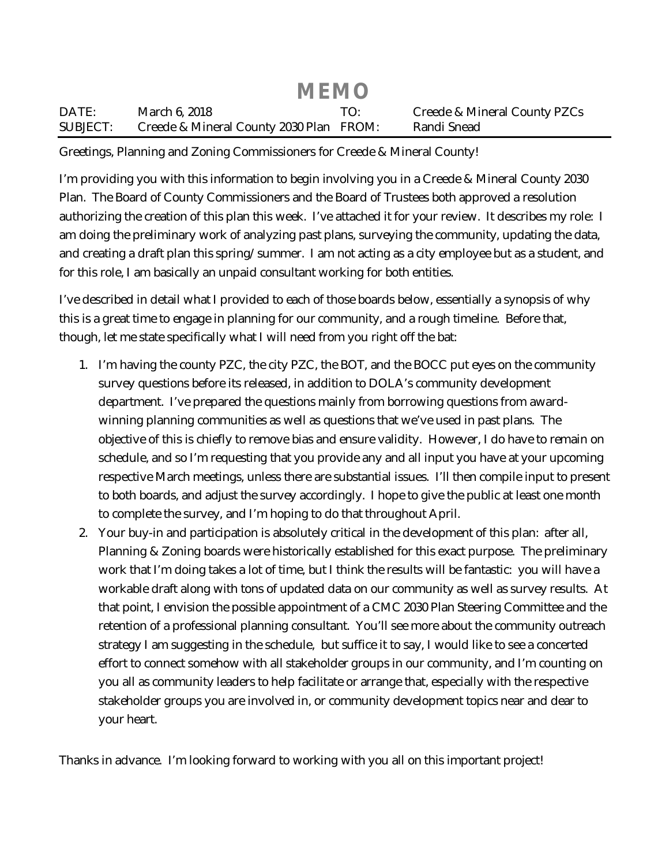|                 | <b>MEMO</b>                             |     |                              |
|-----------------|-----------------------------------------|-----|------------------------------|
| DATE:           | March 6, 2018                           | TO. | Creede & Mineral County PZCs |
| <b>SUBJECT:</b> | Creede & Mineral County 2030 Plan FROM: |     | Randi Snead                  |

Greetings, Planning and Zoning Commissioners for Creede & Mineral County!

I'm providing you with this information to begin involving you in a Creede & Mineral County 2030 Plan. The Board of County Commissioners and the Board of Trustees both approved a resolution authorizing the creation of this plan this week. I've attached it for your review. It describes my role: I am doing the preliminary work of analyzing past plans, surveying the community, updating the data, and creating a draft plan this spring/summer. I am not acting as a city employee but as a student, and for this role, I am basically an unpaid consultant working for both entities.

I've described in detail what I provided to each of those boards below, essentially a synopsis of why this is a great time to engage in planning for our community, and a rough timeline. Before that, though, let me state specifically what I will need from you right off the bat:

- 1. I'm having the county PZC, the city PZC, the BOT, and the BOCC put eyes on the community survey questions before its released, in addition to DOLA's community development department. I've prepared the questions mainly from borrowing questions from awardwinning planning communities as well as questions that we've used in past plans. The objective of this is chiefly to remove bias and ensure validity. However, I do have to remain on schedule, and so I'm requesting that you provide any and all input you have at your upcoming respective March meetings, unless there are substantial issues. I'll then compile input to present to both boards, and adjust the survey accordingly. I hope to give the public at least one month to complete the survey, and I'm hoping to do that throughout April.
- 2. Your buy-in and participation is absolutely critical in the development of this plan: after all, Planning & Zoning boards were historically established for this exact purpose. The preliminary work that I'm doing takes a lot of time, but I think the results will be fantastic: you will have a workable draft along with tons of updated data on our community as well as survey results. At that point, I envision the possible appointment of a CMC 2030 Plan Steering Committee and the retention of a professional planning consultant. You'll see more about the community outreach strategy I am suggesting in the schedule, but suffice it to say, I would like to see a concerted effort to connect somehow with all stakeholder groups in our community, and I'm counting on you all as community leaders to help facilitate or arrange that, especially with the respective stakeholder groups you are involved in, or community development topics near and dear to your heart.

Thanks in advance. I'm looking forward to working with you all on this important project!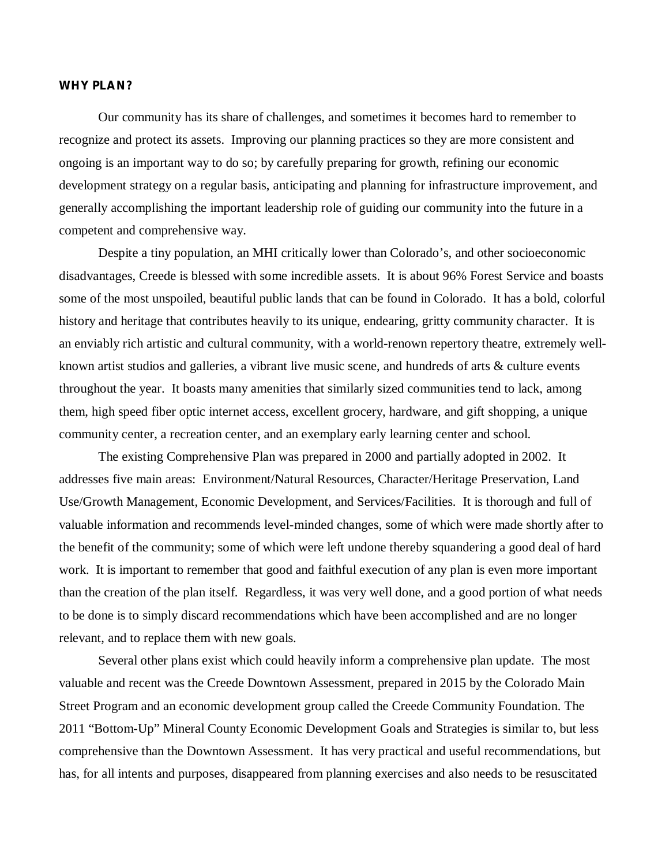#### **WHY PLAN?**

Our community has its share of challenges, and sometimes it becomes hard to remember to recognize and protect its assets. Improving our planning practices so they are more consistent and ongoing is an important way to do so; by carefully preparing for growth, refining our economic development strategy on a regular basis, anticipating and planning for infrastructure improvement, and generally accomplishing the important leadership role of guiding our community into the future in a competent and comprehensive way.

Despite a tiny population, an MHI critically lower than Colorado's, and other socioeconomic disadvantages, Creede is blessed with some incredible assets. It is about 96% Forest Service and boasts some of the most unspoiled, beautiful public lands that can be found in Colorado. It has a bold, colorful history and heritage that contributes heavily to its unique, endearing, gritty community character. It is an enviably rich artistic and cultural community, with a world-renown repertory theatre, extremely wellknown artist studios and galleries, a vibrant live music scene, and hundreds of arts & culture events throughout the year. It boasts many amenities that similarly sized communities tend to lack, among them, high speed fiber optic internet access, excellent grocery, hardware, and gift shopping, a unique community center, a recreation center, and an exemplary early learning center and school.

The existing Comprehensive Plan was prepared in 2000 and partially adopted in 2002. It addresses five main areas: Environment/Natural Resources, Character/Heritage Preservation, Land Use/Growth Management, Economic Development, and Services/Facilities. It is thorough and full of valuable information and recommends level-minded changes, some of which were made shortly after to the benefit of the community; some of which were left undone thereby squandering a good deal of hard work. It is important to remember that good and faithful execution of any plan is even more important than the creation of the plan itself. Regardless, it was very well done, and a good portion of what needs to be done is to simply discard recommendations which have been accomplished and are no longer relevant, and to replace them with new goals.

Several other plans exist which could heavily inform a comprehensive plan update. The most valuable and recent was the Creede Downtown Assessment, prepared in 2015 by the Colorado Main Street Program and an economic development group called the Creede Community Foundation. The 2011 "Bottom-Up" Mineral County Economic Development Goals and Strategies is similar to, but less comprehensive than the Downtown Assessment. It has very practical and useful recommendations, but has, for all intents and purposes, disappeared from planning exercises and also needs to be resuscitated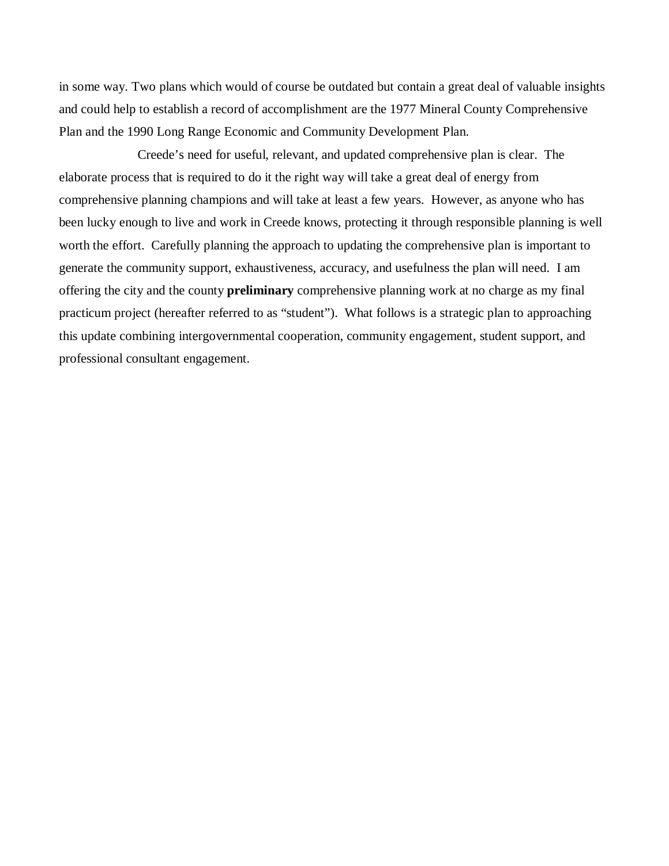in some way. Two plans which would of course be outdated but contain a great deal of valuable insights and could help to establish a record of accomplishment are the 1977 Mineral County Comprehensive Plan and the 1990 Long Range Economic and Community Development Plan.

Creede's need for useful, relevant, and updated comprehensive plan is clear. The elaborate process that is required to do it the right way will take a great deal of energy from comprehensive planning champions and will take at least a few years. However, as anyone who has been lucky enough to live and work in Creede knows, protecting it through responsible planning is well worth the effort. Carefully planning the approach to updating the comprehensive plan is important to generate the community support, exhaustiveness, accuracy, and usefulness the plan will need. I am offering the city and the county **preliminary** comprehensive planning work at no charge as my final practicum project (hereafter referred to as "student"). What follows is a strategic plan to approaching this update combining intergovernmental cooperation, community engagement, student support, and professional consultant engagement.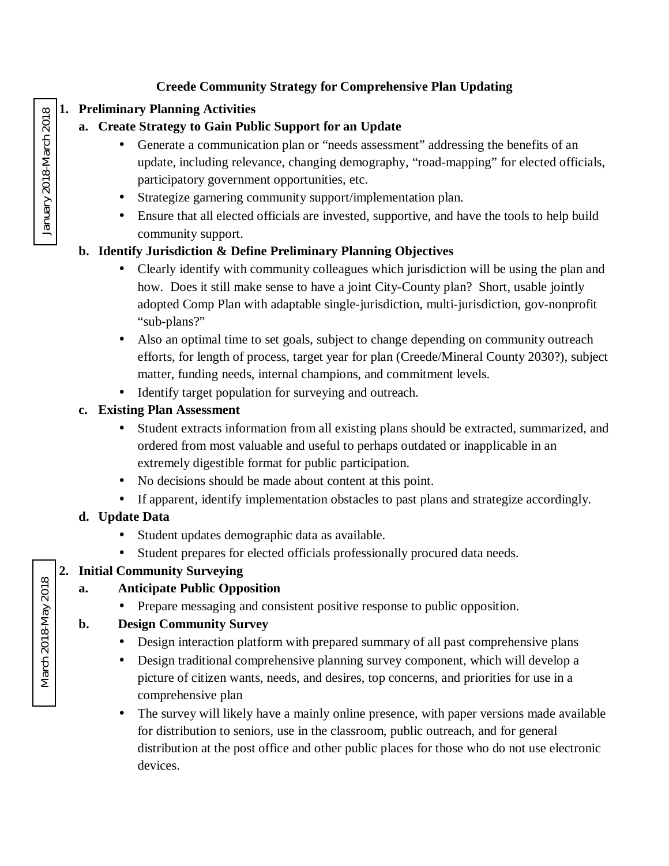#### **Creede Community Strategy for Comprehensive Plan Updating**

### **1. Preliminary Planning Activities**

### **a. Create Strategy to Gain Public Support for an Update**

- Generate a communication plan or "needs assessment" addressing the benefits of an l, update, including relevance, changing demography, "road-mapping" for elected officials, participatory government opportunities, etc.
- Strategize garnering community support/implementation plan. ä,
- Ensure that all elected officials are invested, supportive, and have the tools to help build  $\mathbf{r}$ community support.

### **b. Identify Jurisdiction & Define Preliminary Planning Objectives**

- Clearly identify with community colleagues which jurisdiction will be using the plan and ä, how. Does it still make sense to have a joint City-County plan? Short, usable jointly adopted Comp Plan with adaptable single-jurisdiction, multi-jurisdiction, gov-nonprofit "sub-plans?"
- Also an optimal time to set goals, subject to change depending on community outreach l, efforts, for length of process, target year for plan (Creede/Mineral County 2030?), subject matter, funding needs, internal champions, and commitment levels.
- Identify target population for surveying and outreach.

### **c. Existing Plan Assessment**

- Student extracts information from all existing plans should be extracted, summarized, and ordered from most valuable and useful to perhaps outdated or inapplicable in an extremely digestible format for public participation.
- l, No decisions should be made about content at this point.
- If apparent, identify implementation obstacles to past plans and strategize accordingly. t,

## **d. Update Data**

- Student updates demographic data as available.
- Student prepares for elected officials professionally procured data needs.

## **2. Initial Community Surveying**

#### **a. Anticipate Public Opposition**

 $\hat{\mathbf{r}}$ Prepare messaging and consistent positive response to public opposition.

#### **b. Design Community Survey**

- Design interaction platform with prepared summary of all past comprehensive plans ä,
- Design traditional comprehensive planning survey component, which will develop a  $\mathbf{r}$ picture of citizen wants, needs, and desires, top concerns, and priorities for use in a comprehensive plan
- The survey will likely have a mainly online presence, with paper versions made available ä, for distribution to seniors, use in the classroom, public outreach, and for general distribution at the post office and other public places for those who do not use electronic devices.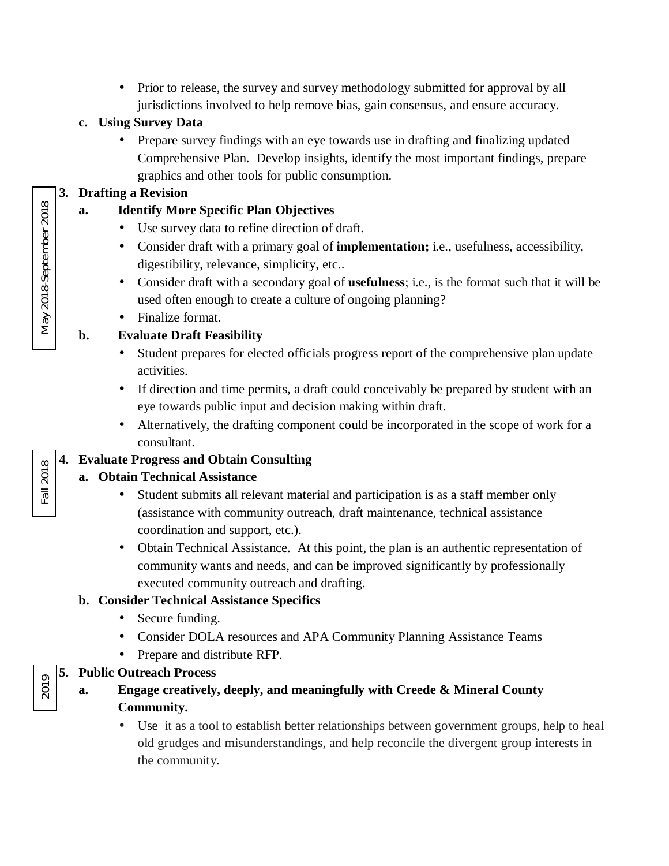Prior to release, the survey and survey methodology submitted for approval by all  $\Box$ jurisdictions involved to help remove bias, gain consensus, and ensure accuracy.

## **c. Using Survey Data**

Prepare survey findings with an eye towards use in drafting and finalizing updated  $\mathcal{L}^{\text{max}}$ Comprehensive Plan. Develop insights, identify the most important findings, prepare graphics and other tools for public consumption.

### **3. Drafting a Revision**

- **a. Identify More Specific Plan Objectives**
	- Use survey data to refine direction of draft.
	- l, Consider draft with a primary goal of **implementation;** i.e., usefulness, accessibility, digestibility, relevance, simplicity, etc..
	- Consider draft with a secondary goal of **usefulness**; i.e., is the format such that it will be used often enough to create a culture of ongoing planning?
	- Finalize format.

# **b. Evaluate Draft Feasibility**

- ł, Student prepares for elected officials progress report of the comprehensive plan update activities.
- $\mathbf{r}$ If direction and time permits, a draft could conceivably be prepared by student with an eye towards public input and decision making within draft.
- Alternatively, the drafting component could be incorporated in the scope of work for a  $\mathbf{r}^{\prime}$ consultant.

## **4. Evaluate Progress and Obtain Consulting**

## **a. Obtain Technical Assistance**

- Student submits all relevant material and participation is as a staff member only (assistance with community outreach, draft maintenance, technical assistance coordination and support, etc.).
- ł, Obtain Technical Assistance. At this point, the plan is an authentic representation of community wants and needs, and can be improved significantly by professionally executed community outreach and drafting.

## **b. Consider Technical Assistance Specifics**

- $\mathbf{r}^{\prime}$ Secure funding.
- Consider DOLA resources and APA Community Planning Assistance Teams  $\mathbf{r}$
- $\mathbf{r}^{\prime}$ Prepare and distribute RFP.

## **5. Public Outreach Process**

- **a. Engage creatively, deeply, and meaningfully with Creede & Mineral County Community.**
	- Use it as a tool to establish better relationships between government groups, help to heal old grudges and misunderstandings, and help reconcile the divergent group interests in the community.

May 2018-September 2018 May 2018-September 2018

Fall 2018

2019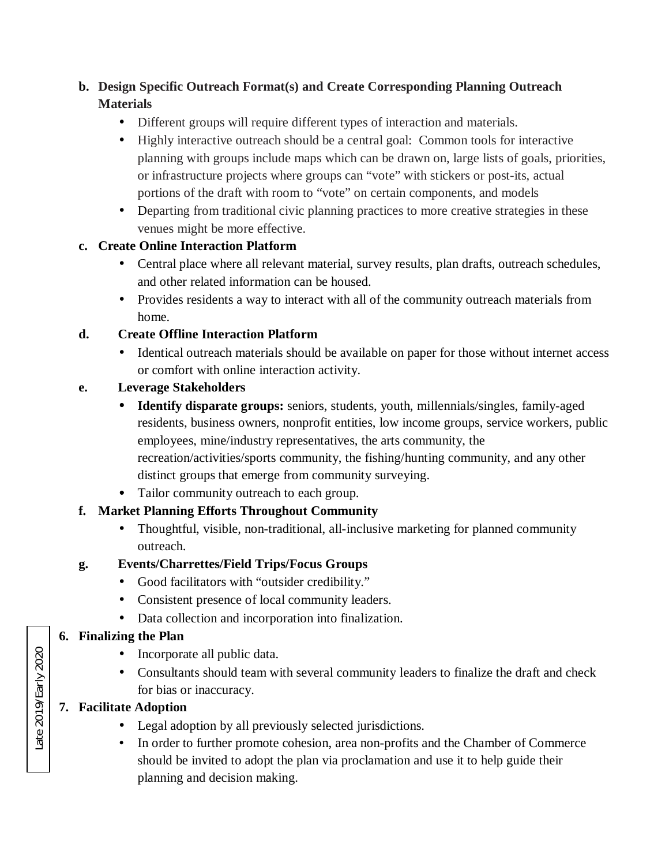## **b. Design Specific Outreach Format(s) and Create Corresponding Planning Outreach Materials**

- ä, Different groups will require different types of interaction and materials.
- Highly interactive outreach should be a central goal: Common tools for interactive  $\mathcal{L}^{\text{max}}$ planning with groups include maps which can be drawn on, large lists of goals, priorities, or infrastructure projects where groups can "vote" with stickers or post-its, actual portions of the draft with room to "vote" on certain components, and models
- Departing from traditional civic planning practices to more creative strategies in these  $\mathbf{r}$ venues might be more effective.

#### **c. Create Online Interaction Platform**

- Central place where all relevant material, survey results, plan drafts, outreach schedules, and other related information can be housed.
- $\mathbf{r}$  . Provides residents a way to interact with all of the community outreach materials from home.

#### **d. Create Offline Interaction Platform**

Identical outreach materials should be available on paper for those without internet access ä. or comfort with online interaction activity.

#### **e. Leverage Stakeholders**

- **Identify disparate groups:** seniors, students, youth, millennials/singles, family-aged residents, business owners, nonprofit entities, low income groups, service workers, public employees, mine/industry representatives, the arts community, the recreation/activities/sports community, the fishing/hunting community, and any other distinct groups that emerge from community surveying.
- · Tailor community outreach to each group.

#### **f. Market Planning Efforts Throughout Community**

ä, Thoughtful, visible, non-traditional, all-inclusive marketing for planned community outreach.

#### **g. Events/Charrettes/Field Trips/Focus Groups**

- Good facilitators with "outsider credibility."  $\mathcal{L}^{\text{max}}$
- Consistent presence of local community leaders.
- L. Data collection and incorporation into finalization.

#### **6. Finalizing the Plan**

- Incorporate all public data.
- Consultants should team with several community leaders to finalize the draft and check for bias or inaccuracy.

#### **7. Facilitate Adoption**

- Legal adoption by all previously selected jurisdictions.
- In order to further promote cohesion, area non-profits and the Chamber of Commerce should be invited to adopt the plan via proclamation and use it to help guide their planning and decision making.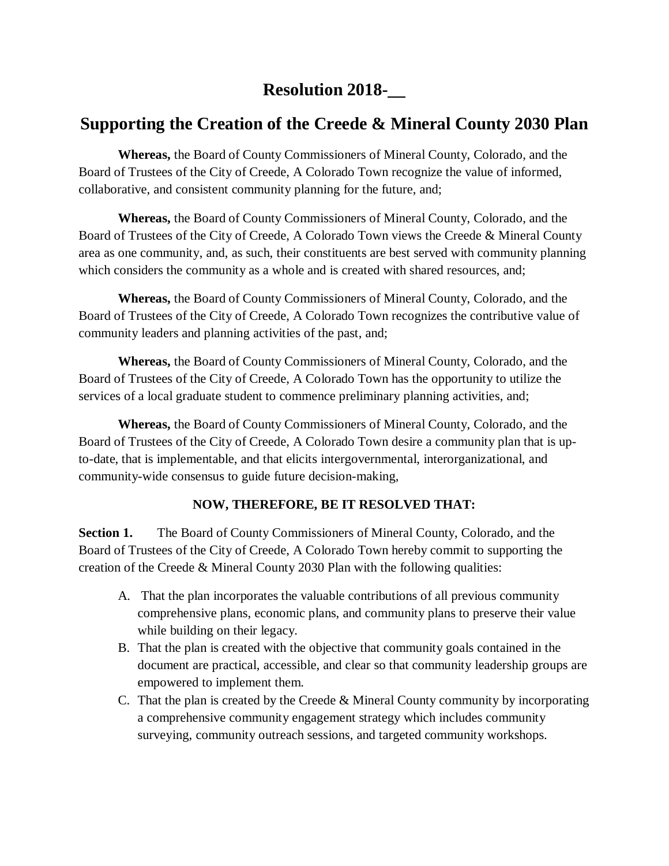# **Resolution 2018-\_\_**

# **Supporting the Creation of the Creede & Mineral County 2030 Plan**

**Whereas,** the Board of County Commissioners of Mineral County, Colorado, and the Board of Trustees of the City of Creede, A Colorado Town recognize the value of informed, collaborative, and consistent community planning for the future, and;

**Whereas,** the Board of County Commissioners of Mineral County, Colorado, and the Board of Trustees of the City of Creede, A Colorado Town views the Creede & Mineral County area as one community, and, as such, their constituents are best served with community planning which considers the community as a whole and is created with shared resources, and;

**Whereas,** the Board of County Commissioners of Mineral County, Colorado, and the Board of Trustees of the City of Creede, A Colorado Town recognizes the contributive value of community leaders and planning activities of the past, and;

**Whereas,** the Board of County Commissioners of Mineral County, Colorado, and the Board of Trustees of the City of Creede, A Colorado Town has the opportunity to utilize the services of a local graduate student to commence preliminary planning activities, and;

**Whereas,** the Board of County Commissioners of Mineral County, Colorado, and the Board of Trustees of the City of Creede, A Colorado Town desire a community plan that is upto-date, that is implementable, and that elicits intergovernmental, interorganizational, and community-wide consensus to guide future decision-making,

#### **NOW, THEREFORE, BE IT RESOLVED THAT:**

**Section 1.** The Board of County Commissioners of Mineral County, Colorado, and the Board of Trustees of the City of Creede, A Colorado Town hereby commit to supporting the creation of the Creede & Mineral County 2030 Plan with the following qualities:

- A. That the plan incorporates the valuable contributions of all previous community comprehensive plans, economic plans, and community plans to preserve their value while building on their legacy.
- B. That the plan is created with the objective that community goals contained in the document are practical, accessible, and clear so that community leadership groups are empowered to implement them.
- C. That the plan is created by the Creede & Mineral County community by incorporating a comprehensive community engagement strategy which includes community surveying, community outreach sessions, and targeted community workshops.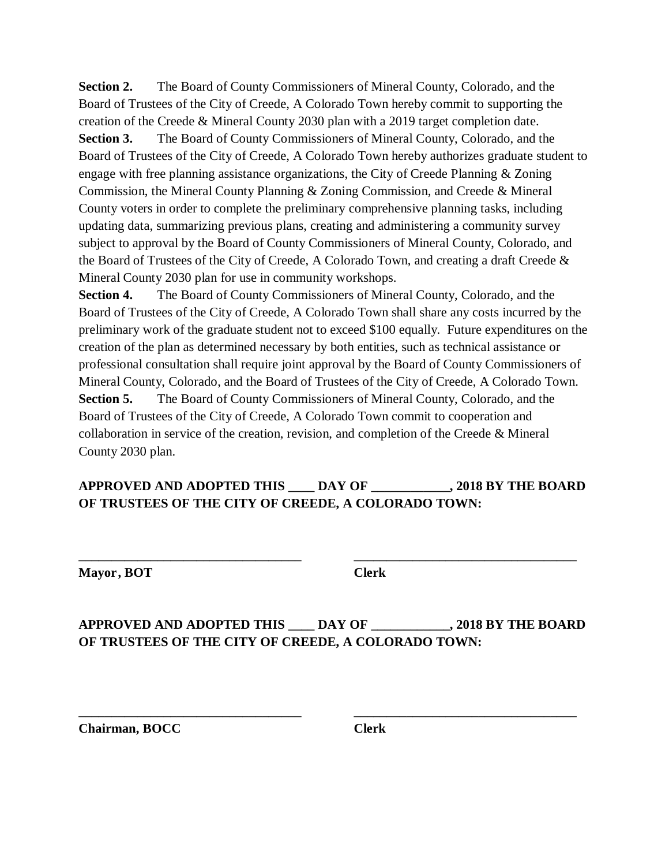**Section 2.** The Board of County Commissioners of Mineral County, Colorado, and the Board of Trustees of the City of Creede, A Colorado Town hereby commit to supporting the creation of the Creede & Mineral County 2030 plan with a 2019 target completion date. **Section 3.** The Board of County Commissioners of Mineral County, Colorado, and the Board of Trustees of the City of Creede, A Colorado Town hereby authorizes graduate student to engage with free planning assistance organizations, the City of Creede Planning & Zoning Commission, the Mineral County Planning & Zoning Commission, and Creede & Mineral County voters in order to complete the preliminary comprehensive planning tasks, including updating data, summarizing previous plans, creating and administering a community survey subject to approval by the Board of County Commissioners of Mineral County, Colorado, and the Board of Trustees of the City of Creede, A Colorado Town, and creating a draft Creede & Mineral County 2030 plan for use in community workshops.

**Section 4.** The Board of County Commissioners of Mineral County, Colorado, and the Board of Trustees of the City of Creede, A Colorado Town shall share any costs incurred by the preliminary work of the graduate student not to exceed \$100 equally. Future expenditures on the creation of the plan as determined necessary by both entities, such as technical assistance or professional consultation shall require joint approval by the Board of County Commissioners of Mineral County, Colorado, and the Board of Trustees of the City of Creede, A Colorado Town. **Section 5.** The Board of County Commissioners of Mineral County, Colorado, and the Board of Trustees of the City of Creede, A Colorado Town commit to cooperation and collaboration in service of the creation, revision, and completion of the Creede & Mineral County 2030 plan.

#### **APPROVED AND ADOPTED THIS \_\_\_\_ DAY OF \_\_\_\_\_\_\_\_\_\_\_\_, 2018 BY THE BOARD OF TRUSTEES OF THE CITY OF CREEDE, A COLORADO TOWN:**

**\_\_\_\_\_\_\_\_\_\_\_\_\_\_\_\_\_\_\_\_\_\_\_\_\_\_\_\_\_\_\_\_\_\_ \_\_\_\_\_\_\_\_\_\_\_\_\_\_\_\_\_\_\_\_\_\_\_\_\_\_\_\_\_\_\_\_\_\_** 

**Mayor, BOT Clerk** 

**APPROVED AND ADOPTED THIS \_\_\_\_ DAY OF \_\_\_\_\_\_\_\_\_\_\_\_, 2018 BY THE BOARD OF TRUSTEES OF THE CITY OF CREEDE, A COLORADO TOWN:**

**\_\_\_\_\_\_\_\_\_\_\_\_\_\_\_\_\_\_\_\_\_\_\_\_\_\_\_\_\_\_\_\_\_\_ \_\_\_\_\_\_\_\_\_\_\_\_\_\_\_\_\_\_\_\_\_\_\_\_\_\_\_\_\_\_\_\_\_\_** 

**Chairman, BOCC** Clerk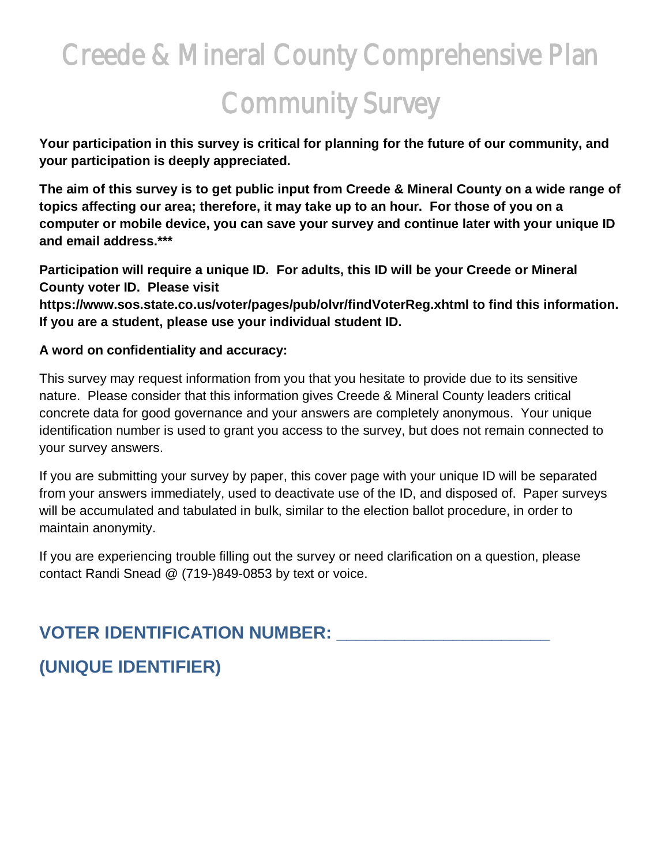# Creede & Mineral County Comprehensive Plan Community Survey

**Your participation in this survey is critical for planning for the future of our community, and your participation is deeply appreciated.**

**The aim of this survey is to get public input from Creede & Mineral County on a wide range of topics affecting our area; therefore, it may take up to an hour. For those of you on a computer or mobile device, you can save your survey and continue later with your unique ID and email address.\*\*\***

**Participation will require a unique ID. For adults, this ID will be your Creede or Mineral County voter ID. Please visit** 

**https://www.sos.state.co.us/voter/pages/pub/olvr/findVoterReg.xhtml to find this information. If you are a student, please use your individual student ID.** 

#### **A word on confidentiality and accuracy:**

This survey may request information from you that you hesitate to provide due to its sensitive nature. Please consider that this information gives Creede & Mineral County leaders critical concrete data for good governance and your answers are completely anonymous. Your unique identification number is used to grant you access to the survey, but does not remain connected to your survey answers.

If you are submitting your survey by paper, this cover page with your unique ID will be separated from your answers immediately, used to deactivate use of the ID, and disposed of. Paper surveys will be accumulated and tabulated in bulk, similar to the election ballot procedure, in order to maintain anonymity.

If you are experiencing trouble filling out the survey or need clarification on a question, please contact Randi Snead @ (719-)849-0853 by text or voice.

# **VOTER IDENTIFICATION NUMBER: \_\_\_\_\_\_\_\_\_\_\_\_\_\_\_\_\_\_\_\_\_\_**

# **(UNIQUE IDENTIFIER)**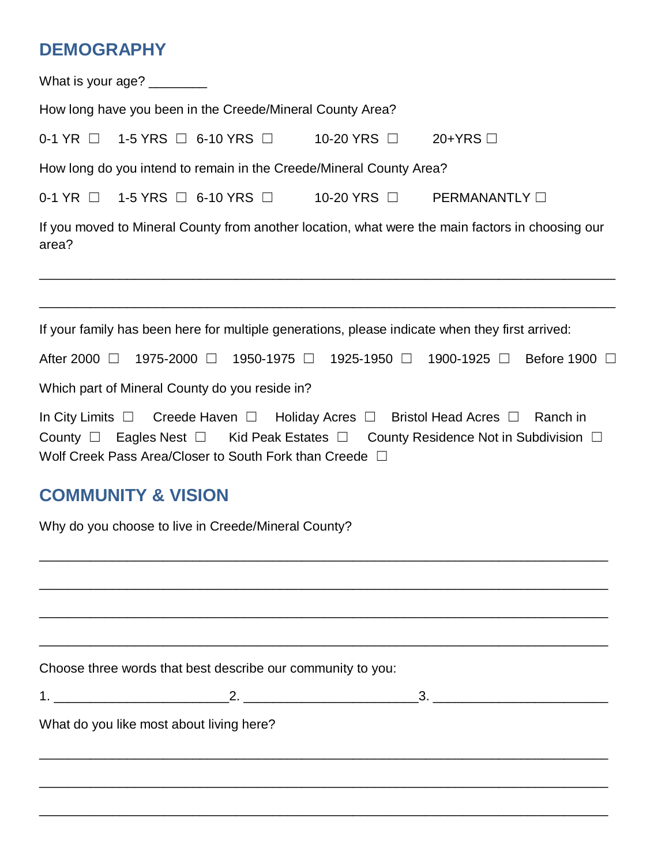# **DEMOGRAPHY**

|                                                                                | What is your age? ________    |                                                              |                                                                     |                                                                                                                                                                                                          |  |  |  |
|--------------------------------------------------------------------------------|-------------------------------|--------------------------------------------------------------|---------------------------------------------------------------------|----------------------------------------------------------------------------------------------------------------------------------------------------------------------------------------------------------|--|--|--|
|                                                                                |                               | How long have you been in the Creede/Mineral County Area?    |                                                                     |                                                                                                                                                                                                          |  |  |  |
| 0-1 YR $\Box$ 1-5 YRS $\Box$ 6-10 YRS $\Box$ 10-20 YRS $\Box$<br>20+YRS $\Box$ |                               |                                                              |                                                                     |                                                                                                                                                                                                          |  |  |  |
|                                                                                |                               |                                                              | How long do you intend to remain in the Creede/Mineral County Area? |                                                                                                                                                                                                          |  |  |  |
|                                                                                |                               |                                                              |                                                                     | 0-1 YR □ 1-5 YRS □ 6-10 YRS □ 10-20 YRS □ PERMANANTLY □                                                                                                                                                  |  |  |  |
| area?                                                                          |                               |                                                              |                                                                     | If you moved to Mineral County from another location, what were the main factors in choosing our                                                                                                         |  |  |  |
|                                                                                |                               |                                                              |                                                                     | If your family has been here for multiple generations, please indicate when they first arrived:                                                                                                          |  |  |  |
|                                                                                |                               |                                                              |                                                                     | After 2000 □ 1975-2000 □ 1950-1975 □ 1925-1950 □ 1900-1925 □ Before 1900 □                                                                                                                               |  |  |  |
|                                                                                |                               | Which part of Mineral County do you reside in?               |                                                                     |                                                                                                                                                                                                          |  |  |  |
|                                                                                |                               | Wolf Creek Pass Area/Closer to South Fork than Creede $\Box$ |                                                                     | In City Limits $\Box$ Creede Haven $\Box$ Holiday Acres $\Box$ Bristol Head Acres $\Box$ Ranch in<br>County $\Box$ Eagles Nest $\Box$ Kid Peak Estates $\Box$ County Residence Not in Subdivision $\Box$ |  |  |  |
|                                                                                | <b>COMMUNITY &amp; VISION</b> |                                                              |                                                                     |                                                                                                                                                                                                          |  |  |  |
|                                                                                |                               | Why do you choose to live in Creede/Mineral County?          |                                                                     |                                                                                                                                                                                                          |  |  |  |
|                                                                                |                               |                                                              |                                                                     |                                                                                                                                                                                                          |  |  |  |
|                                                                                |                               | Choose three words that best describe our community to you:  |                                                                     |                                                                                                                                                                                                          |  |  |  |
|                                                                                |                               |                                                              |                                                                     |                                                                                                                                                                                                          |  |  |  |
|                                                                                |                               | What do you like most about living here?                     |                                                                     |                                                                                                                                                                                                          |  |  |  |
|                                                                                |                               |                                                              |                                                                     |                                                                                                                                                                                                          |  |  |  |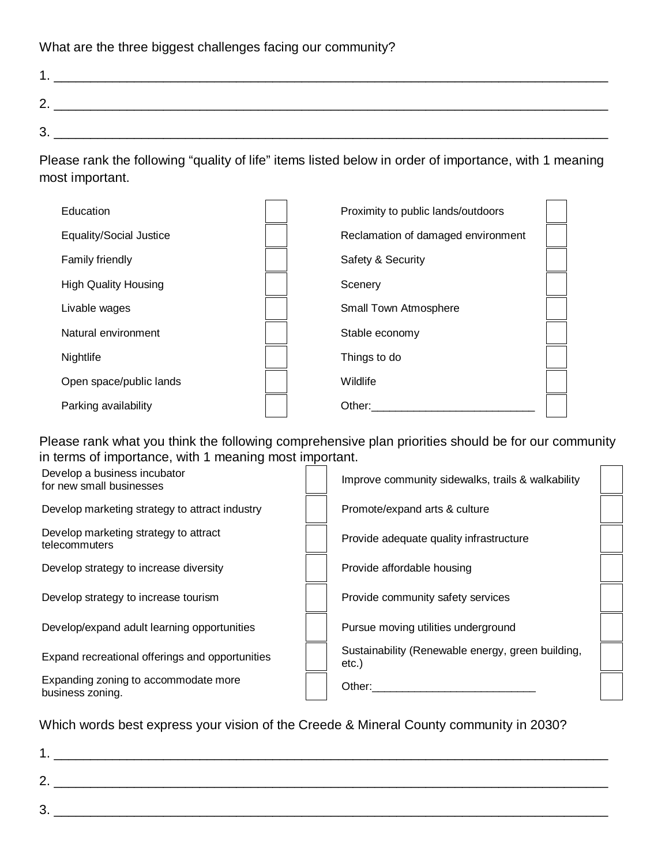What are the three biggest challenges facing our community?

| ႒<br><u>_</u> |  |
|---------------|--|
| ີ<br>ັ        |  |

Please rank the following "quality of life" items listed below in order of importance, with 1 meaning most important.

| Education                      | Proximity to public lands/outdoors |  |
|--------------------------------|------------------------------------|--|
| <b>Equality/Social Justice</b> | Reclamation of damaged environment |  |
| Family friendly                | Safety & Security                  |  |
| <b>High Quality Housing</b>    | Scenery                            |  |
| Livable wages                  | Small Town Atmosphere              |  |
| Natural environment            | Stable economy                     |  |
| Nightlife                      | Things to do                       |  |
| Open space/public lands        | Wildlife                           |  |
| Parking availability           | Other:                             |  |

Please rank what you think the following comprehensive plan priorities should be for our community in terms of importance, with 1 meaning most important.

| Develop a business incubator<br>for new small businesses | Improve community sidewalks, trails & walkability          |  |
|----------------------------------------------------------|------------------------------------------------------------|--|
| Develop marketing strategy to attract industry           | Promote/expand arts & culture                              |  |
| Develop marketing strategy to attract<br>telecommuters   | Provide adequate quality infrastructure                    |  |
| Develop strategy to increase diversity                   | Provide affordable housing                                 |  |
| Develop strategy to increase tourism                     | Provide community safety services                          |  |
| Develop/expand adult learning opportunities              | Pursue moving utilities underground                        |  |
| Expand recreational offerings and opportunities          | Sustainability (Renewable energy, green building,<br>etc.) |  |
| Expanding zoning to accommodate more<br>business zoning. | Other:                                                     |  |

Which words best express your vision of the Creede & Mineral County community in 2030?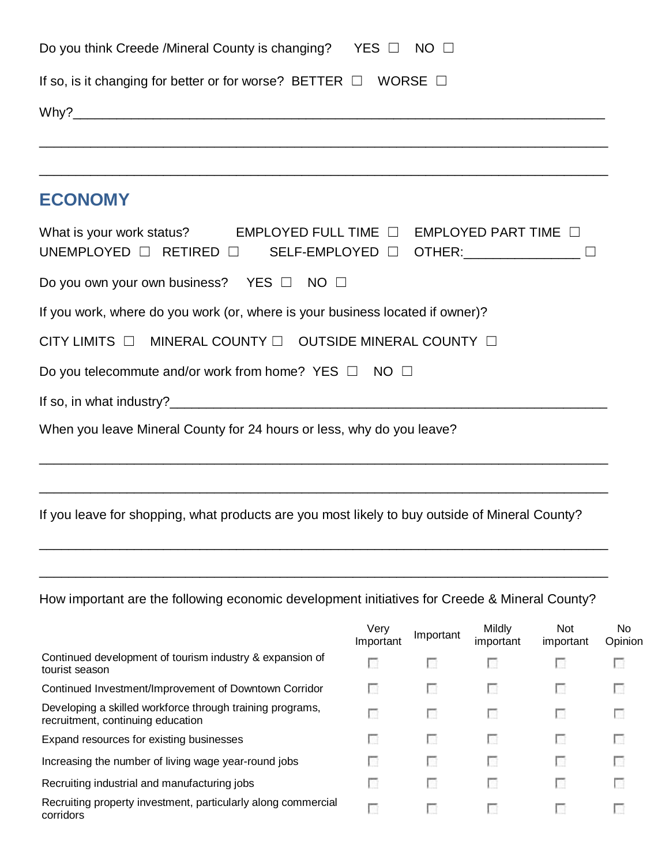| Do you think Creede /Mineral County is changing? YES $\Box$                                                                                                        |                   | $NO$ $\square$ |                     |                         |                      |
|--------------------------------------------------------------------------------------------------------------------------------------------------------------------|-------------------|----------------|---------------------|-------------------------|----------------------|
| If so, is it changing for better or for worse? BETTER $\Box$ WORSE $\Box$                                                                                          |                   |                |                     |                         |                      |
|                                                                                                                                                                    |                   |                |                     |                         |                      |
|                                                                                                                                                                    |                   |                |                     |                         |                      |
| <b>ECONOMY</b>                                                                                                                                                     |                   |                |                     |                         |                      |
| What is your work status? EMPLOYED FULL TIME $\Box$ EMPLOYED PART TIME $\Box$<br>UNEMPLOYED $\Box$ RETIRED $\Box$ SELF-EMPLOYED $\Box$ OTHER: ____________________ |                   |                |                     |                         |                      |
| Do you own your own business? YES □ NO □                                                                                                                           |                   |                |                     |                         |                      |
| If you work, where do you work (or, where is your business located if owner)?                                                                                      |                   |                |                     |                         |                      |
| CITY LIMITS O MINERAL COUNTY O OUTSIDE MINERAL COUNTY O                                                                                                            |                   |                |                     |                         |                      |
| Do you telecommute and/or work from home? YES $\Box$ NO $\Box$                                                                                                     |                   |                |                     |                         |                      |
|                                                                                                                                                                    |                   |                |                     |                         |                      |
| When you leave Mineral County for 24 hours or less, why do you leave?                                                                                              |                   |                |                     |                         |                      |
|                                                                                                                                                                    |                   |                |                     |                         |                      |
| If you leave for shopping, what products are you most likely to buy outside of Mineral County?                                                                     |                   |                |                     |                         |                      |
|                                                                                                                                                                    |                   |                |                     |                         |                      |
| How important are the following economic development initiatives for Creede & Mineral County?                                                                      |                   |                |                     |                         |                      |
|                                                                                                                                                                    | Very<br>Important | Important      | Mildly<br>important | <b>Not</b><br>important | <b>No</b><br>Opinion |
| Continued development of tourism industry & expansion of<br>tourist season                                                                                         | п                 | п              | п                   | г                       | <b>COL</b>           |
| Continued Investment/Improvement of Downtown Corridor                                                                                                              | п                 | <b>COL</b>     | o                   | o                       |                      |
| Developing a skilled workforce through training programs,<br>recruitment, continuing education                                                                     | n                 | L.             |                     | L.                      |                      |
| Expand resources for existing businesses                                                                                                                           | <b>CO</b>         | o              | o                   | <b>COL</b>              |                      |

 $\overline{\mathcal{L}_{\mathcal{A}}}$ 

 $\overline{\mathcal{L}}$ 

 $\overline{\mathbb{C}}$ 

 $\overline{\phantom{a}}$ 

 $\mathcal{L}(\mathcal{L})$ 

 $\overline{\mathbb{C}}$ 

 $\overline{\mathcal{C}}$ 

 $\frac{1}{\sqrt{2}}$ 

 $\frac{1}{\sqrt{2}}$ 

 $\overline{\mathcal{L}_{\mathcal{A}}}$ 

 $\hat{\mathcal{C}}$ 

 $\overline{\phantom{a}}$ 

 $\frac{1}{\sqrt{2}}$ 

| Increasing the number of living wage year-round jobs |  |  |
|------------------------------------------------------|--|--|
|------------------------------------------------------|--|--|

| Recruiting property investment, particularly along commercial |  |
|---------------------------------------------------------------|--|
| corridors                                                     |  |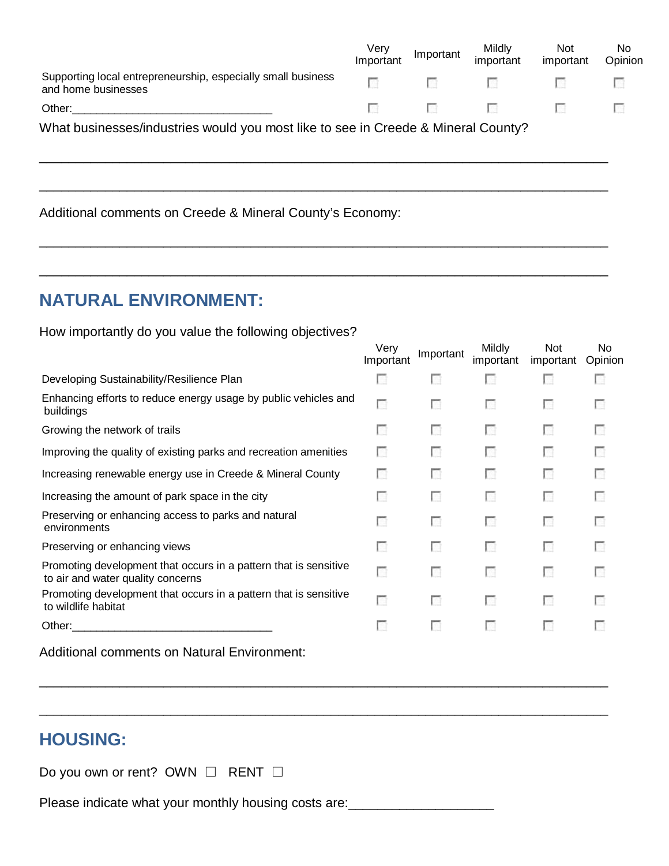|                                                                                     | Verv<br>Important                                     | Important | Mildly<br>important | <b>Not</b><br>important | No<br>Opinion |
|-------------------------------------------------------------------------------------|-------------------------------------------------------|-----------|---------------------|-------------------------|---------------|
| Supporting local entrepreneurship, especially small business<br>and home businesses | <b>I</b> Ser                                          | $\sim$    | $-10.7$             |                         |               |
| Other:                                                                              | $\mathcal{L}(\mathcal{L}) = \mathcal{L}(\mathcal{L})$ | $\sim$    | - 19                |                         |               |
| What businesses/industries would you most like to see in Creede & Mineral County?   |                                                       |           |                     |                         |               |

\_\_\_\_\_\_\_\_\_\_\_\_\_\_\_\_\_\_\_\_\_\_\_\_\_\_\_\_\_\_\_\_\_\_\_\_\_\_\_\_\_\_\_\_\_\_\_\_\_\_\_\_\_\_\_\_\_\_\_\_\_\_\_\_\_\_\_\_\_\_\_\_\_\_\_\_\_\_

\_\_\_\_\_\_\_\_\_\_\_\_\_\_\_\_\_\_\_\_\_\_\_\_\_\_\_\_\_\_\_\_\_\_\_\_\_\_\_\_\_\_\_\_\_\_\_\_\_\_\_\_\_\_\_\_\_\_\_\_\_\_\_\_\_\_\_\_\_\_\_\_\_\_\_\_\_\_

\_\_\_\_\_\_\_\_\_\_\_\_\_\_\_\_\_\_\_\_\_\_\_\_\_\_\_\_\_\_\_\_\_\_\_\_\_\_\_\_\_\_\_\_\_\_\_\_\_\_\_\_\_\_\_\_\_\_\_\_\_\_\_\_\_\_\_\_\_\_\_\_\_\_\_\_\_\_

Additional comments on Creede & Mineral County's Economy:

# **NATURAL ENVIRONMENT:**

How importantly do you value the following objectives?

|                                                                                                                                                                                                                                | Very<br>Important | Important | <b>Mildly</b><br>important | <b>Not</b><br>important | No<br>Opinion |
|--------------------------------------------------------------------------------------------------------------------------------------------------------------------------------------------------------------------------------|-------------------|-----------|----------------------------|-------------------------|---------------|
| Developing Sustainability/Resilience Plan                                                                                                                                                                                      | n                 | <b>CO</b> | п                          | <b>COL</b>              | L.            |
| Enhancing efforts to reduce energy usage by public vehicles and<br>buildings                                                                                                                                                   | П                 | П         | П                          | 19                      | L.            |
| Growing the network of trails                                                                                                                                                                                                  | П                 | п         | п                          | 19                      | п             |
| Improving the quality of existing parks and recreation amenities                                                                                                                                                               | n                 | п         | п                          | o                       | п             |
| Increasing renewable energy use in Creede & Mineral County                                                                                                                                                                     | П                 | o         | П                          | $\mathcal{L}$           | п             |
| Increasing the amount of park space in the city                                                                                                                                                                                | Œ                 | <b>A</b>  | L.                         | <b>A</b>                | Œ             |
| Preserving or enhancing access to parks and natural<br>environments                                                                                                                                                            | Г                 | П         | П                          | п                       | П             |
| Preserving or enhancing views                                                                                                                                                                                                  | П                 | o         | П                          | п                       | п             |
| Promoting development that occurs in a pattern that is sensitive<br>to air and water quality concerns                                                                                                                          | п                 | П         | П                          | П                       | п             |
| Promoting development that occurs in a pattern that is sensitive<br>to wildlife habitat                                                                                                                                        | П                 | П         | П                          | o                       | п             |
| Other: the contract of the contract of the contract of the contract of the contract of the contract of the contract of the contract of the contract of the contract of the contract of the contract of the contract of the con | П                 | <b>A</b>  | LG 1                       | LG.                     | L.            |
| Additional comments on Natural Environment:                                                                                                                                                                                    |                   |           |                            |                         |               |

\_\_\_\_\_\_\_\_\_\_\_\_\_\_\_\_\_\_\_\_\_\_\_\_\_\_\_\_\_\_\_\_\_\_\_\_\_\_\_\_\_\_\_\_\_\_\_\_\_\_\_\_\_\_\_\_\_\_\_\_\_\_\_\_\_\_\_\_\_\_\_\_\_\_\_\_\_\_

\_\_\_\_\_\_\_\_\_\_\_\_\_\_\_\_\_\_\_\_\_\_\_\_\_\_\_\_\_\_\_\_\_\_\_\_\_\_\_\_\_\_\_\_\_\_\_\_\_\_\_\_\_\_\_\_\_\_\_\_\_\_\_\_\_\_\_\_\_\_\_\_\_\_\_\_\_\_

# **HOUSING:**

| Do you own or rent? OWN $\Box$ RENT $\Box$ |  |  |
|--------------------------------------------|--|--|
|--------------------------------------------|--|--|

Please indicate what your monthly housing costs are: \_\_\_\_\_\_\_\_\_\_\_\_\_\_\_\_\_\_\_\_\_\_\_\_\_\_\_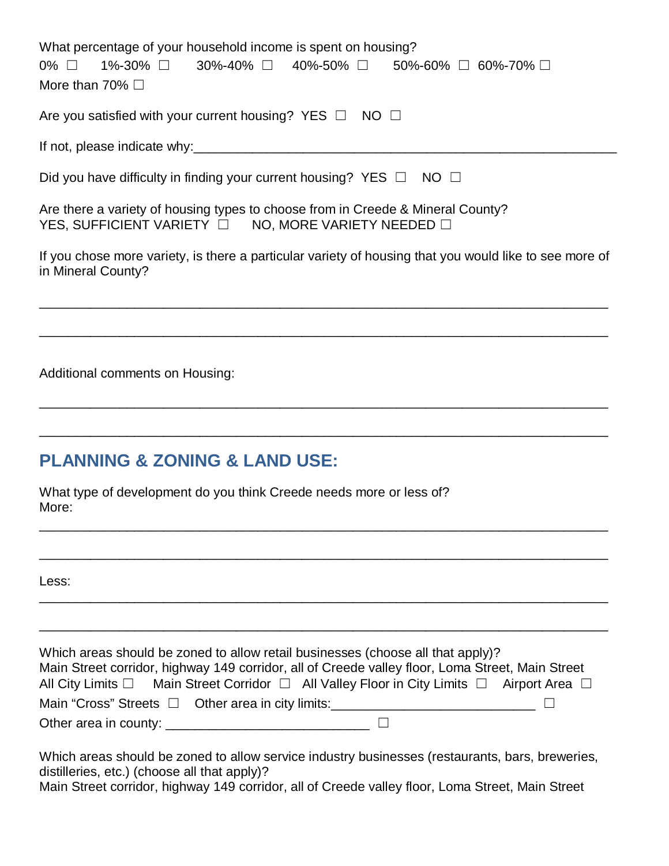| What percentage of your household income is spent on housing?<br>1%-30% □ 30%-40% □ 40%-50% □ 50%-60% □ 60%-70% □<br>$0\%$ $\Box$<br>More than 70% $\Box$ |
|-----------------------------------------------------------------------------------------------------------------------------------------------------------|
| Are you satisfied with your current housing? YES $\Box$ NO $\Box$                                                                                         |
|                                                                                                                                                           |
| Did you have difficulty in finding your current housing? YES $\Box$ NO $\Box$                                                                             |
| Are there a variety of housing types to choose from in Creede & Mineral County?<br>YES, SUFFICIENT VARIETY $\Box$ NO, MORE VARIETY NEEDED $\Box$          |
| If you chose more variety, is there a particular variety of housing that you would like to see more of<br>in Mineral County?                              |
|                                                                                                                                                           |
| Additional comments on Housing:                                                                                                                           |
| <b>PLANNING &amp; ZONING &amp; LAND USE:</b>                                                                                                              |
| What type of development do you think Creede needs more or less of?<br>More:                                                                              |

Less:

| Which areas should be zoned to allow retail businesses (choose all that apply)?<br>Main Street corridor, highway 149 corridor, all of Creede valley floor, Loma Street, Main Street |  |
|-------------------------------------------------------------------------------------------------------------------------------------------------------------------------------------|--|
| All City Limits $\Box$ Main Street Corridor $\Box$ All Valley Floor in City Limits $\Box$ Airport Area $\Box$                                                                       |  |
| Main "Cross" Streets □ Other area in city limits:                                                                                                                                   |  |
|                                                                                                                                                                                     |  |

\_\_\_\_\_\_\_\_\_\_\_\_\_\_\_\_\_\_\_\_\_\_\_\_\_\_\_\_\_\_\_\_\_\_\_\_\_\_\_\_\_\_\_\_\_\_\_\_\_\_\_\_\_\_\_\_\_\_\_\_\_\_\_\_\_\_\_\_\_\_\_\_\_\_\_\_\_\_

\_\_\_\_\_\_\_\_\_\_\_\_\_\_\_\_\_\_\_\_\_\_\_\_\_\_\_\_\_\_\_\_\_\_\_\_\_\_\_\_\_\_\_\_\_\_\_\_\_\_\_\_\_\_\_\_\_\_\_\_\_\_\_\_\_\_\_\_\_\_\_\_\_\_\_\_\_\_

\_\_\_\_\_\_\_\_\_\_\_\_\_\_\_\_\_\_\_\_\_\_\_\_\_\_\_\_\_\_\_\_\_\_\_\_\_\_\_\_\_\_\_\_\_\_\_\_\_\_\_\_\_\_\_\_\_\_\_\_\_\_\_\_\_\_\_\_\_\_\_\_\_\_\_\_\_\_

\_\_\_\_\_\_\_\_\_\_\_\_\_\_\_\_\_\_\_\_\_\_\_\_\_\_\_\_\_\_\_\_\_\_\_\_\_\_\_\_\_\_\_\_\_\_\_\_\_\_\_\_\_\_\_\_\_\_\_\_\_\_\_\_\_\_\_\_\_\_\_\_\_\_\_\_\_\_

Which areas should be zoned to allow service industry businesses (restaurants, bars, breweries, distilleries, etc.) (choose all that apply)? Main Street corridor, highway 149 corridor, all of Creede valley floor, Loma Street, Main Street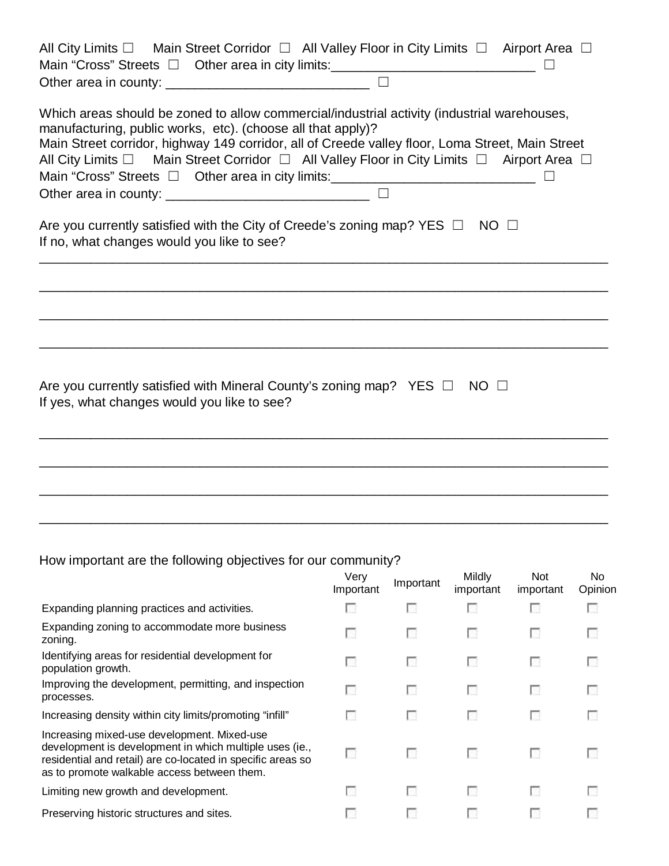| All City Limits $\square$ Main Street Corridor $\square$ All Valley Floor in City Limits $\square$ Airport Area $\square$<br>Main "Cross" Streets □ Other area in city limits: ______________________________                                                                                                                                                                                                                                                                                                                                                                                                                                |
|----------------------------------------------------------------------------------------------------------------------------------------------------------------------------------------------------------------------------------------------------------------------------------------------------------------------------------------------------------------------------------------------------------------------------------------------------------------------------------------------------------------------------------------------------------------------------------------------------------------------------------------------|
| Which areas should be zoned to allow commercial/industrial activity (industrial warehouses,<br>manufacturing, public works, etc). (choose all that apply)?<br>Main Street corridor, highway 149 corridor, all of Creede valley floor, Loma Street, Main Street<br>All City Limits $\square$ Main Street Corridor $\square$ All Valley Floor in City Limits $\square$ Airport Area $\square$<br>Main "Cross" Streets □ Other area in city limits: ______________________________<br>Other area in county: $\frac{1}{2}$ or $\frac{1}{2}$ or $\frac{1}{2}$ $\frac{1}{2}$ $\frac{1}{2}$ $\frac{1}{2}$ $\frac{1}{2}$ $\frac{1}{2}$ $\frac{1}{2}$ |
| Are you currently satisfied with the City of Creede's zoning map? YES $\Box$ NO $\Box$<br>If no, what changes would you like to see?                                                                                                                                                                                                                                                                                                                                                                                                                                                                                                         |
|                                                                                                                                                                                                                                                                                                                                                                                                                                                                                                                                                                                                                                              |
| Are you currently satisfied with Mineral County's zoning map? YES $\Box$ NO $\Box$<br>If yes, what changes would you like to see?                                                                                                                                                                                                                                                                                                                                                                                                                                                                                                            |
|                                                                                                                                                                                                                                                                                                                                                                                                                                                                                                                                                                                                                                              |
|                                                                                                                                                                                                                                                                                                                                                                                                                                                                                                                                                                                                                                              |

How important are the following objectives for our community?

|                                                                                                                                                                                                                      | Very<br>Important | Important  | Mildly<br>important | <b>Not</b><br>important | No.<br>Opinion |
|----------------------------------------------------------------------------------------------------------------------------------------------------------------------------------------------------------------------|-------------------|------------|---------------------|-------------------------|----------------|
| Expanding planning practices and activities.                                                                                                                                                                         |                   | L.         |                     | <b>COL</b>              | L.             |
| Expanding zoning to accommodate more business<br>zoning.                                                                                                                                                             | п                 | <b>COL</b> | <b>A</b>            | L.                      | L.             |
| Identifying areas for residential development for<br>population growth.                                                                                                                                              | п                 | <b>COL</b> | L.                  | п                       | L.             |
| Improving the development, permitting, and inspection<br>processes.                                                                                                                                                  | г                 | <b>COL</b> | П                   | П                       | L.             |
| Increasing density within city limits/promoting "infill"                                                                                                                                                             | L.                | <b>COL</b> | L.                  | L.                      | L.             |
| Increasing mixed-use development. Mixed-use<br>development is development in which multiple uses (ie.,<br>residential and retail) are co-located in specific areas so<br>as to promote walkable access between them. | г                 | <b>COL</b> | L.                  | П                       | L.             |
| Limiting new growth and development.                                                                                                                                                                                 | L.                | <b>COL</b> | <b>I</b> Gi         | L.                      | <b>I</b> Gi    |
| Preserving historic structures and sites.                                                                                                                                                                            | u                 | <b>A</b>   | L.                  | <b>COL</b>              |                |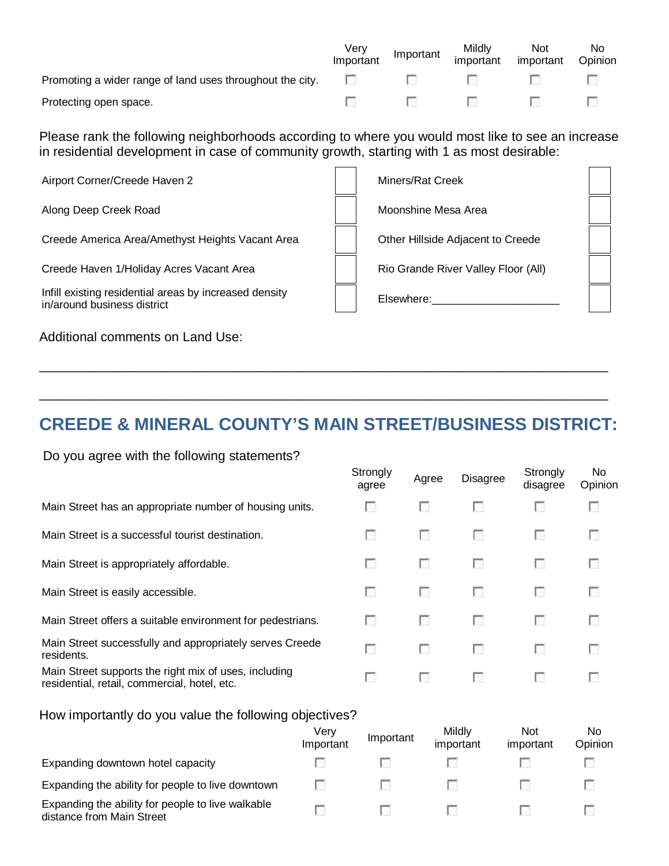|                                                                  | Very<br>Important | Important | Mildly<br>important                                                                                                  | <b>Not</b><br>important | No.<br>Opinion |
|------------------------------------------------------------------|-------------------|-----------|----------------------------------------------------------------------------------------------------------------------|-------------------------|----------------|
| Promoting a wider range of land uses throughout the city. $\Box$ |                   |           |                                                                                                                      |                         |                |
| Protecting open space.                                           |                   |           | <b>1966年 - 1976年 - 1986年 - 1986年 - 1986年 - 1986年 - 1986年 - 1986年 - 1986年 - 1986年 - 1986年 - 1986年 - 1986年 - 1986年</b> |                         |                |

Please rank the following neighborhoods according to where you would most like to see an increase in residential development in case of community growth, starting with 1 as most desirable:

| Airport Corner/Creede Haven 2                                                         | Miners/Rat Creek                    |  |
|---------------------------------------------------------------------------------------|-------------------------------------|--|
| Along Deep Creek Road                                                                 | Moonshine Mesa Area                 |  |
| Creede America Area/Amethyst Heights Vacant Area                                      | Other Hillside Adjacent to Creede   |  |
| Creede Haven 1/Holiday Acres Vacant Area                                              | Rio Grande River Valley Floor (All) |  |
| Infill existing residential areas by increased density<br>in/around business district | Elsewhere:                          |  |
|                                                                                       |                                     |  |

Additional comments on Land Use:

# **CREEDE & MINERAL COUNTY'S MAIN STREET/BUSINESS DISTRICT:**

\_\_\_\_\_\_\_\_\_\_\_\_\_\_\_\_\_\_\_\_\_\_\_\_\_\_\_\_\_\_\_\_\_\_\_\_\_\_\_\_\_\_\_\_\_\_\_\_\_\_\_\_\_\_\_\_\_\_\_\_\_\_\_\_\_\_\_\_\_\_\_\_\_\_\_\_\_\_

\_\_\_\_\_\_\_\_\_\_\_\_\_\_\_\_\_\_\_\_\_\_\_\_\_\_\_\_\_\_\_\_\_\_\_\_\_\_\_\_\_\_\_\_\_\_\_\_\_\_\_\_\_\_\_\_\_\_\_\_\_\_\_\_\_\_\_\_\_\_\_\_\_\_\_\_\_\_

#### Do you agree with the following statements?

|                                                                                                       | Strongly<br>agree | Agree        | <b>Disagree</b> | Strongly<br>disagree | No.<br>Opinion |
|-------------------------------------------------------------------------------------------------------|-------------------|--------------|-----------------|----------------------|----------------|
| Main Street has an appropriate number of housing units.                                               | L.                | L.           | <b>I</b> Gi     | L.                   | L.             |
| Main Street is a successful tourist destination.                                                      | <b>COL</b>        | L.           | L.              | L.                   | <b>COL</b>     |
| Main Street is appropriately affordable.                                                              | <b>COL</b>        | LG.          | L.              | <b>COL</b>           | L.             |
| Main Street is easily accessible.                                                                     | L.                | <b>A</b>     | <b>A</b>        | <b>COL</b>           | <b>COL</b>     |
| Main Street offers a suitable environment for pedestrians.                                            | L.                | <b>A</b>     | <b>A</b>        | <b>COL</b>           | L.             |
| Main Street successfully and appropriately serves Creede<br>residents.                                | г                 | <b>PRESS</b> | $\mathcal{N}$   | <b>COL</b>           | C.             |
| Main Street supports the right mix of uses, including<br>residential, retail, commercial, hotel, etc. | n.                | L.           | <b>I</b> Gi     | L.                   | u              |

#### How importantly do you value the following objectives?

|                                                                                | Verv<br>Important | Important  | Mildly<br>important | Not<br>important | No<br>Opinion |
|--------------------------------------------------------------------------------|-------------------|------------|---------------------|------------------|---------------|
| Expanding downtown hotel capacity                                              | L 19              |            |                     |                  |               |
| Expanding the ability for people to live downtown                              | m                 | <b>COL</b> |                     |                  |               |
| Expanding the ability for people to live walkable<br>distance from Main Street |                   | <b>COL</b> |                     |                  |               |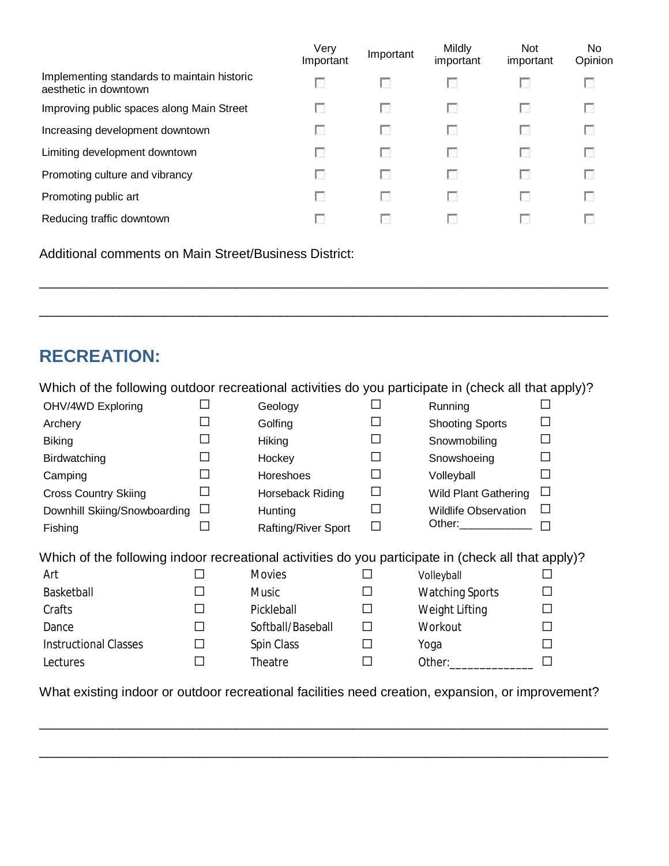|                                                                      | Very<br>Important | Important | <b>Mildly</b><br>important | <b>Not</b><br>important | No.<br>Opinion |
|----------------------------------------------------------------------|-------------------|-----------|----------------------------|-------------------------|----------------|
| Implementing standards to maintain historic<br>aesthetic in downtown | <b>COL</b>        | L.        | u                          |                         | L. E           |
| Improving public spaces along Main Street                            | <b>COL</b>        | U.        | U.                         | u                       | L.             |
| Increasing development downtown                                      | <b>CO</b>         | u         | <b>COL</b>                 | u                       | U.             |
| Limiting development downtown                                        | <b>COL</b>        | L.        | <b>COL</b>                 | Œ                       | U.             |
| Promoting culture and vibrancy                                       | <b>COL</b>        | u         | <b>COL</b>                 | Œ                       | U.             |
| Promoting public art                                                 | <b>CO</b>         | u         | <b>COL</b>                 | Œ                       | U.             |
| Reducing traffic downtown                                            | <b>COL</b>        | L.        | <b>COL</b>                 |                         | L.             |

\_\_\_\_\_\_\_\_\_\_\_\_\_\_\_\_\_\_\_\_\_\_\_\_\_\_\_\_\_\_\_\_\_\_\_\_\_\_\_\_\_\_\_\_\_\_\_\_\_\_\_\_\_\_\_\_\_\_\_\_\_\_\_\_\_\_\_\_\_\_\_\_\_\_\_\_\_\_

\_\_\_\_\_\_\_\_\_\_\_\_\_\_\_\_\_\_\_\_\_\_\_\_\_\_\_\_\_\_\_\_\_\_\_\_\_\_\_\_\_\_\_\_\_\_\_\_\_\_\_\_\_\_\_\_\_\_\_\_\_\_\_\_\_\_\_\_\_\_\_\_\_\_\_\_\_\_

Additional comments on Main Street/Business District:

# **RECREATION:**

| Which of the following outdoor recreational activities do you participate in (check all that apply)? |        |                            |         |                             |              |
|------------------------------------------------------------------------------------------------------|--------|----------------------------|---------|-----------------------------|--------------|
| OHV/4WD Exploring                                                                                    |        | Geology                    |         | Running                     |              |
| Archery                                                                                              |        | Golfing                    |         | <b>Shooting Sports</b>      |              |
| <b>Biking</b>                                                                                        |        | Hiking                     |         | Snowmobiling                |              |
| Birdwatching                                                                                         | $\Box$ | Hockey                     | H       | Snowshoeing                 |              |
| Camping                                                                                              | H      | Horeshoes                  | $\perp$ | Volleyball                  |              |
| <b>Cross Country Skiing</b>                                                                          | □      | Horseback Riding           | $\Box$  | <b>Wild Plant Gathering</b> | ΙI           |
| Downhill Skiing/Snowboarding                                                                         | ப      | Hunting                    | П       | <b>Wildlife Observation</b> | $\mathsf{L}$ |
| Fishing                                                                                              |        | <b>Rafting/River Sport</b> |         | Other: ______________       |              |
| Which of the following indoor recreational activities do you participate in (check all that apply)?  |        |                            |         |                             |              |
| Art                                                                                                  | ΙI     | <b>Movies</b>              |         | Volleyball                  |              |
| Basketball                                                                                           | П      | Music                      |         | <b>Watching Sports</b>      |              |
| Crafts                                                                                               | П      | Pickleball                 | ΙI      | Weight Lifting              |              |
| Dance                                                                                                | П      | Softball/Baseball          | ΙI      | Workout                     |              |
| <b>Instructional Classes</b>                                                                         | П      | Spin Class                 |         | Yoga                        |              |
| Lectures                                                                                             | П      | Theatre                    |         | Other:                      |              |
|                                                                                                      |        |                            |         |                             |              |

What existing indoor or outdoor recreational facilities need creation, expansion, or improvement?

\_\_\_\_\_\_\_\_\_\_\_\_\_\_\_\_\_\_\_\_\_\_\_\_\_\_\_\_\_\_\_\_\_\_\_\_\_\_\_\_\_\_\_\_\_\_\_\_\_\_\_\_\_\_\_\_\_\_\_\_\_\_\_\_\_\_\_\_\_\_\_\_\_\_\_\_\_\_

\_\_\_\_\_\_\_\_\_\_\_\_\_\_\_\_\_\_\_\_\_\_\_\_\_\_\_\_\_\_\_\_\_\_\_\_\_\_\_\_\_\_\_\_\_\_\_\_\_\_\_\_\_\_\_\_\_\_\_\_\_\_\_\_\_\_\_\_\_\_\_\_\_\_\_\_\_\_